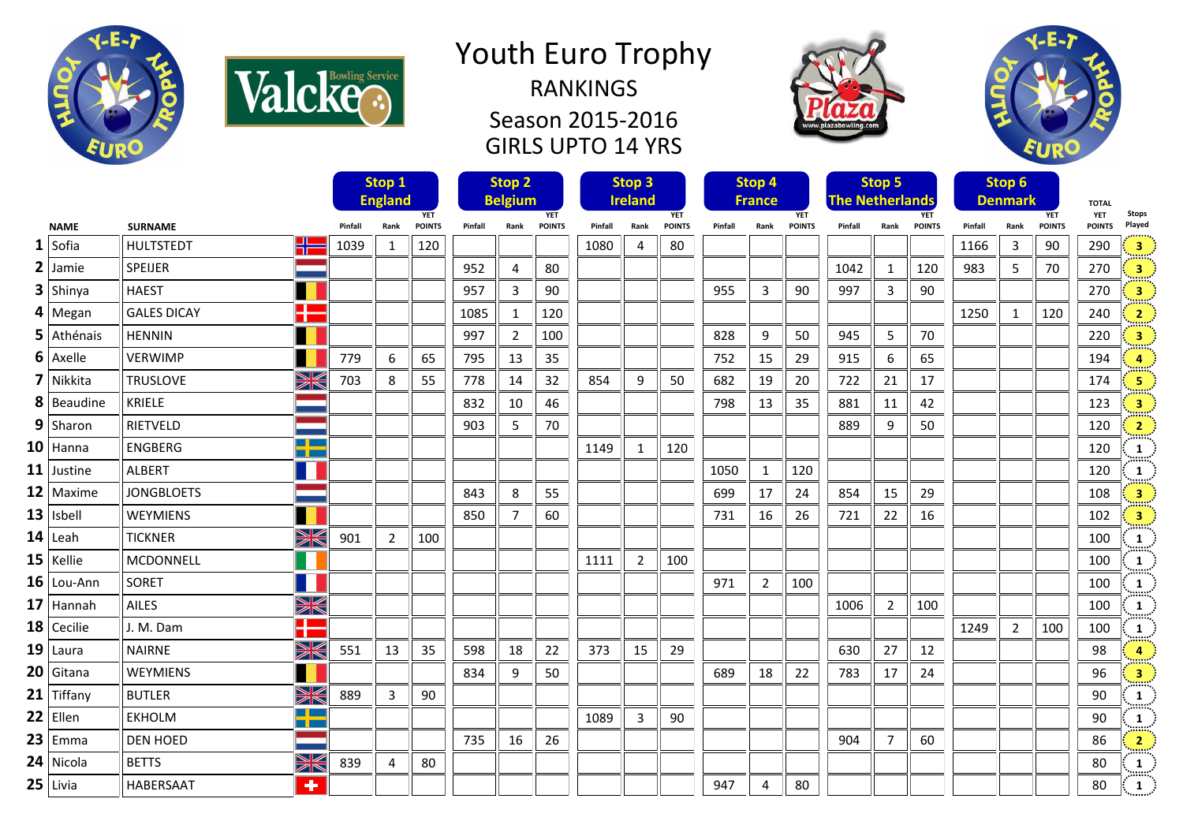

Valcke.

## Youth Euro Trophy RANKINGS

Season 2015-2016 GIRLS UPTO 14 YRS





|               |                    |                           | Stop 1                       |                |               | Stop <sub>2</sub> |                              |               | Stop <sub>3</sub> |                              |               | Stop 4  |                             |               |         | Stop 5                 |               | Stop 6  |                |               |                              |                                                                     |
|---------------|--------------------|---------------------------|------------------------------|----------------|---------------|-------------------|------------------------------|---------------|-------------------|------------------------------|---------------|---------|-----------------------------|---------------|---------|------------------------|---------------|---------|----------------|---------------|------------------------------|---------------------------------------------------------------------|
|               |                    |                           | <b>England</b><br><b>YET</b> |                |               |                   | <b>Belgium</b><br><b>YET</b> |               |                   | <b>Ireland</b><br><b>YET</b> |               |         | <b>France</b><br><b>YET</b> |               |         | <b>The Netherlands</b> | <b>YET</b>    |         | <b>Denmark</b> | <b>YET</b>    | <b>TOTAL</b><br>Stops<br>YET |                                                                     |
| <b>NAME</b>   | <b>SURNAME</b>     |                           | Pinfall                      | Rank           | <b>POINTS</b> | Pinfall           | Rank                         | <b>POINTS</b> | Pinfall           | Rank                         | <b>POINTS</b> | Pinfall | Rank                        | <b>POINTS</b> | Pinfall | Rank                   | <b>POINTS</b> | Pinfall | Rank           | <b>POINTS</b> | <b>POINTS</b>                | Played                                                              |
| $1$ Sofia     | <b>HULTSTEDT</b>   | X                         | 1039                         | $\mathbf{1}$   | 120           |                   |                              |               | 1080              | $\overline{4}$               | 80            |         |                             |               |         |                        |               | 1166    | 3              | 90            | 290                          | $\begin{bmatrix} 1 & 3 \end{bmatrix}$                               |
| $2$ Jamie     | SPEIJER            |                           |                              |                |               | 952               | $\overline{4}$               | 80            |                   |                              |               |         |                             |               | 1042    | 1                      | 120           | 983     | 5              | 70            | 270                          | $\overline{\mathbf{3}}$                                             |
| $3$ Shinya    | <b>HAEST</b>       |                           |                              |                |               | 957               | 3                            | 90            |                   |                              |               | 955     | 3                           | 90            | 997     | 3                      | 90            |         |                |               | 270                          | $\overline{\mathbf{3}}$                                             |
| $4$ Megan     | <b>GALES DICAY</b> | H                         |                              |                |               | 1085              | $\mathbf{1}$                 | 120           |                   |                              |               |         |                             |               |         |                        |               | 1250    | 1              | 120           | 240                          | $\frac{2}{\sqrt{2}}$                                                |
| $5$ Athénais  | <b>HENNIN</b>      |                           |                              |                |               | 997               | $\overline{2}$               | 100           |                   |                              |               | 828     | 9                           | 50            | 945     | 5                      | 70            |         |                |               | 220                          | $\overline{\mathbf{3}}$                                             |
| $6$ Axelle    | <b>VERWIMP</b>     |                           | 779                          | 6              | 65            | 795               | 13                           | 35            |                   |                              |               | 752     | 15                          | 29            | 915     | 6                      | 65            |         |                |               | 194                          | $\overline{a}$                                                      |
| 7 Nikkita     | <b>TRUSLOVE</b>    | XK                        | 703                          | 8              | 55            | 778               | 14                           | 32            | 854               | 9                            | 50            | 682     | 19                          | 20            | 722     | 21                     | 17            |         |                |               | 174                          | $\sqrt{5}$                                                          |
| 8 Beaudine    | KRIELE             |                           |                              |                |               | 832               | 10                           | 46            |                   |                              |               | 798     | 13                          | 35            | 881     | 11                     | 42            |         |                |               | 123                          | $\overline{\mathbf{3}}$                                             |
| $9$ Sharon    | RIETVELD           |                           |                              |                |               | 903               | 5                            | 70            |                   |                              |               |         |                             |               | 889     | 9                      | 50            |         |                |               | 120                          | $\overline{2}$                                                      |
| $10$ Hanna    | <b>ENGBERG</b>     | <b>TIME</b><br>n pro      |                              |                |               |                   |                              |               | 1149              | $\mathbf{1}$                 | 120           |         |                             |               |         |                        |               |         |                |               | 120                          | $\mathbf{1}$                                                        |
| $11$ Justine  | <b>ALBERT</b>      |                           |                              |                |               |                   |                              |               |                   |                              |               | 1050    | $\mathbf{1}$                | 120           |         |                        |               |         |                |               | 120                          | $\mathbf{1}$                                                        |
| $12$ Maxime   | <b>JONGBLOETS</b>  |                           |                              |                |               | 843               | 8                            | 55            |                   |                              |               | 699     | 17                          | 24            | 854     | 15                     | 29            |         |                |               | 108                          | $\overline{\mathbf{3}}$                                             |
| $13$   Isbell | WEYMIENS           |                           |                              |                |               | 850               | $\overline{7}$               | 60            |                   |                              |               | 731     | 16                          | 26            | 721     | 22                     | 16            |         |                |               | 102                          | $\overline{\mathbf{3}}$                                             |
| $14$ Leah     | <b>TICKNER</b>     | X                         | 901                          | $\overline{2}$ | 100           |                   |                              |               |                   |                              |               |         |                             |               |         |                        |               |         |                |               | 100                          | $\mathbf{1}$                                                        |
| $15$   Kellie | MCDONNELL          |                           |                              |                |               |                   |                              |               | 1111              | $\overline{2}$               | 100           |         |                             |               |         |                        |               |         |                |               | 100                          | 1                                                                   |
| $16$ Lou-Ann  | SORET              |                           |                              |                |               |                   |                              |               |                   |                              |               | 971     | $\overline{2}$              | 100           |         |                        |               |         |                |               | 100                          | 1                                                                   |
| $17$ Hannah   | <b>AILES</b>       | XK                        |                              |                |               |                   |                              |               |                   |                              |               |         |                             |               | 1006    | $\overline{2}$         | 100           |         |                |               | 100                          | 1                                                                   |
| $18$ Cecilie  | J. M. Dam          | H                         |                              |                |               |                   |                              |               |                   |                              |               |         |                             |               |         |                        |               | 1249    | $\overline{2}$ | 100           | 100                          | 1                                                                   |
| $19$ Laura    | <b>NAIRNE</b>      | X                         | 551                          | 13             | 35            | 598               | 18                           | 22            | 373               | 15                           | 29            |         |                             |               | 630     | 27                     | 12            |         |                |               | 98                           | $\overline{4}$                                                      |
| $20$ Gitana   | <b>WEYMIENS</b>    |                           |                              |                |               | 834               | 9                            | 50            |                   |                              |               | 689     | 18                          | 22            | 783     | 17                     | 24            |         |                |               | 96                           | $\overline{\mathbf{3}}$                                             |
| $21$ Tiffany  | <b>BUTLER</b>      | XK                        | 889                          | $\overline{3}$ | 90            |                   |                              |               |                   |                              |               |         |                             |               |         |                        |               |         |                |               | 90                           | 1                                                                   |
| $22$ Ellen    | <b>EKHOLM</b>      | <b>Time</b><br><u>mar</u> |                              |                |               |                   |                              |               | 1089              | 3                            | 90            |         |                             |               |         |                        |               |         |                |               | 90                           | 1                                                                   |
| $23$ Emma     | <b>DEN HOED</b>    |                           |                              |                |               | 735               | 16                           | 26            |                   |                              |               |         |                             |               | 904     | $\overline{7}$         | 60            |         |                |               | 86                           | $\frac{2}{2}$                                                       |
| $24$ Nicola   | <b>BETTS</b>       | XK                        | 839                          | 4              | 80            |                   |                              |               |                   |                              |               |         |                             |               |         |                        |               |         |                |               | 80                           | $\mathbf{1}$                                                        |
| $25$ Livia    | <b>HABERSAAT</b>   | $\overline{\textbf{+}}$   |                              |                |               |                   |                              |               |                   |                              |               | 947     | 4                           | 80            |         |                        |               |         |                |               | 80                           | $\sim 1000$<br>$\begin{array}{ c c } \hline 1 & \hline \end{array}$ |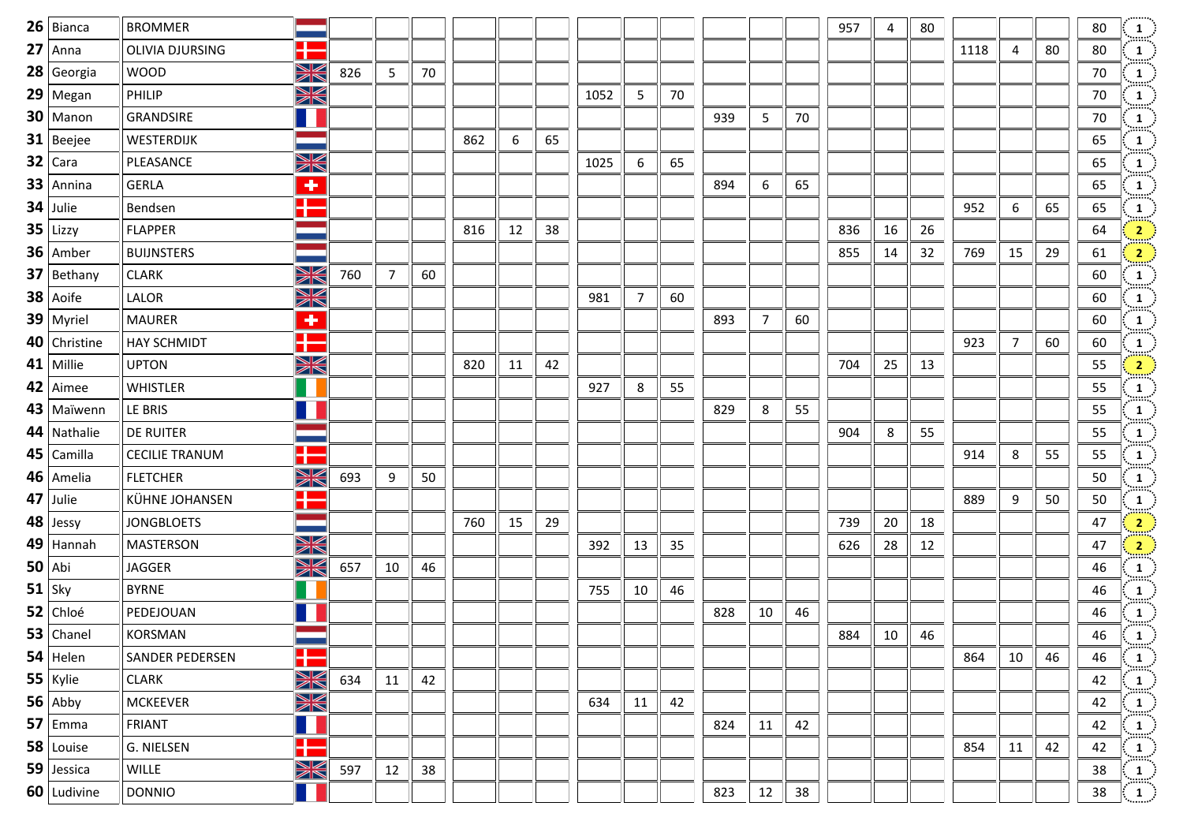| $26$ Bianca    | <b>BROMMER</b>         |                         |     |                |    |     |    |    |      |                |    |     |    |    | 957 | 4  | 80 |      |                |    | 80 | $\frac{1}{2}$                         |
|----------------|------------------------|-------------------------|-----|----------------|----|-----|----|----|------|----------------|----|-----|----|----|-----|----|----|------|----------------|----|----|---------------------------------------|
| $27$ Anna      | <b>OLIVIA DJURSING</b> | Œ                       |     |                |    |     |    |    |      |                |    |     |    |    |     |    |    | 1118 | 4              | 80 | 80 | $\frac{1}{2}$                         |
| $28$ Georgia   | <b>WOOD</b>            | XK                      | 826 | 5              | 70 |     |    |    |      |                |    |     |    |    |     |    |    |      |                |    | 70 | $\frac{1}{\sin \pi}$                  |
| $29$ Megan     | PHILIP                 | XK                      |     |                |    |     |    |    | 1052 | 5              | 70 |     |    |    |     |    |    |      |                |    | 70 | $\frac{1}{2}$                         |
| $30$   Manon   | GRANDSIRE              | ш                       |     |                |    |     |    |    |      |                |    | 939 | 5  | 70 |     |    |    |      |                |    | 70 | $\frac{1}{\sin \pi}$                  |
| $31$ Beejee    | WESTERDIJK             |                         |     |                |    | 862 | 6  | 65 |      |                |    |     |    |    |     |    |    |      |                |    | 65 | $\frac{1}{\sin \pi}$                  |
| $32$ Cara      | PLEASANCE              | X                       |     |                |    |     |    |    | 1025 | 6              | 65 |     |    |    |     |    |    |      |                |    | 65 | $\frac{1}{2}$                         |
| $33$ Annina    | <b>GERLA</b>           | $\overline{\textbf{r}}$ |     |                |    |     |    |    |      |                |    | 894 | 6  | 65 |     |    |    |      |                |    | 65 | $\frac{1}{\sin \pi}$                  |
| $34$ Julie     | Bendsen                | H                       |     |                |    |     |    |    |      |                |    |     |    |    |     |    |    | 952  | 6              | 65 | 65 | $\frac{1}{\sin \pi}$                  |
| $35$ Lizzy     | <b>FLAPPER</b>         |                         |     |                |    | 816 | 12 | 38 |      |                |    |     |    |    | 836 | 16 | 26 |      |                |    | 64 | $\frac{2}{\sinh^2}$                   |
| $36$ Amber     | <b>BUIJNSTERS</b>      |                         |     |                |    |     |    |    |      |                |    |     |    |    | 855 | 14 | 32 | 769  | 15             | 29 | 61 | $\frac{2}{\pi}$                       |
| $37$ Bethany   | <b>CLARK</b>           | XK                      | 760 | $\overline{7}$ | 60 |     |    |    |      |                |    |     |    |    |     |    |    |      |                |    | 60 | $\frac{1}{\cdots}$                    |
| $38$ Aoife     | LALOR                  | X                       |     |                |    |     |    |    | 981  | $\overline{7}$ | 60 |     |    |    |     |    |    |      |                |    | 60 | $\frac{1}{2}$                         |
| $39$ Myriel    | <b>MAURER</b>          | $\overline{\textbf{r}}$ |     |                |    |     |    |    |      |                |    | 893 | 7  | 60 |     |    |    |      |                |    | 60 | $\frac{1}{\text{max}}$                |
| $40$ Christine | <b>HAY SCHMIDT</b>     | H                       |     |                |    |     |    |    |      |                |    |     |    |    |     |    |    | 923  | $\overline{7}$ | 60 | 60 | $\frac{1}{\min}$                      |
| $41$ Millie    | <b>UPTON</b>           | XK                      |     |                |    | 820 | 11 | 42 |      |                |    |     |    |    | 704 | 25 | 13 |      |                |    | 55 | $\frac{2}{\pi}$                       |
| $42$ Aimee     | WHISTLER               |                         |     |                |    |     |    |    | 927  | 8              | 55 |     |    |    |     |    |    |      |                |    | 55 | $\frac{1}{\text{max}}$                |
| $43$ Maïwenn   | LE BRIS                |                         |     |                |    |     |    |    |      |                |    | 829 | 8  | 55 |     |    |    |      |                |    | 55 | $\frac{1}{\cdots}$                    |
| $44$ Nathalie  | <b>DE RUITER</b>       |                         |     |                |    |     |    |    |      |                |    |     |    |    | 904 | 8  | 55 |      |                |    | 55 | $\frac{1}{2}$                         |
| $45$ Camilla   | <b>CECILIE TRANUM</b>  | ╊                       |     |                |    |     |    |    |      |                |    |     |    |    |     |    |    | 914  | 8              | 55 | 55 | $\frac{1}{\text{max}}$                |
| $46$   Amelia  | <b>FLETCHER</b>        | XK                      | 693 | 9              | 50 |     |    |    |      |                |    |     |    |    |     |    |    |      |                |    | 50 | $\frac{1}{2}$                         |
| $47$ Julie     | KÜHNE JOHANSEN         | H                       |     |                |    |     |    |    |      |                |    |     |    |    |     |    |    | 889  | 9              | 50 | 50 | $\frac{1}{2}$                         |
| $48$ Jessy     | <b>JONGBLOETS</b>      |                         |     |                |    | 760 | 15 | 29 |      |                |    |     |    |    | 739 | 20 | 18 |      |                |    | 47 | $\frac{2}{2}$                         |
| $49$ Hannah    | <b>MASTERSON</b>       | XK                      |     |                |    |     |    |    | 392  | 13             | 35 |     |    |    | 626 | 28 | 12 |      |                |    | 47 | $\frac{2}{2}$                         |
| $50$ Abi       | <b>JAGGER</b>          | X                       | 657 | 10             | 46 |     |    |    |      |                |    |     |    |    |     |    |    |      |                |    | 46 | $\frac{1}{2}$                         |
| $51$ Sky       | <b>BYRNE</b>           |                         |     |                |    |     |    |    | 755  | 10             | 46 |     |    |    |     |    |    |      |                |    | 46 | $\frac{1}{2}$                         |
| $52$ Chloé     | PEDEJOUAN              |                         |     |                |    |     |    |    |      |                |    | 828 | 10 | 46 |     |    |    |      |                |    | 46 |                                       |
| $53$ Chanel    | <b>KORSMAN</b>         |                         |     |                |    |     |    |    |      |                |    |     |    |    | 884 | 10 | 46 |      |                |    | 46 | $\begin{pmatrix} 1 \ 1 \end{pmatrix}$ |
| $54$ Helen     | SANDER PEDERSEN        | H                       |     |                |    |     |    |    |      |                |    |     |    |    |     |    |    | 864  | 10             | 46 | 46 | $\frac{1}{2}$                         |
| 55 Kylie       | <b>CLARK</b>           | X                       | 634 | 11             | 42 |     |    |    |      |                |    |     |    |    |     |    |    |      |                |    | 42 | $\frac{1}{2}$                         |
| $56$ Abby      | <b>MCKEEVER</b>        | XK                      |     |                |    |     |    |    | 634  | 11             | 42 |     |    |    |     |    |    |      |                |    | 42 | $\frac{1}{\sin \alpha}$               |
| $57$ Emma      | <b>FRIANT</b>          | 11                      |     |                |    |     |    |    |      |                |    | 824 | 11 | 42 |     |    |    |      |                |    | 42 | $\frac{1}{2}$                         |
| $58$ Louise    | G. NIELSEN             | H                       |     |                |    |     |    |    |      |                |    |     |    |    |     |    |    | 854  | 11             | 42 | 42 | $\frac{1}{2}$                         |
| $59$ Jessica   | WILLE                  | K                       | 597 | 12             | 38 |     |    |    |      |                |    |     |    |    |     |    |    |      |                |    | 38 | $\frac{1}{2}$                         |
| $60$ Ludivine  | <b>DONNIO</b>          |                         |     |                |    |     |    |    |      |                |    | 823 | 12 | 38 |     |    |    |      |                |    | 38 | $\vert\,$ $\vert$                     |